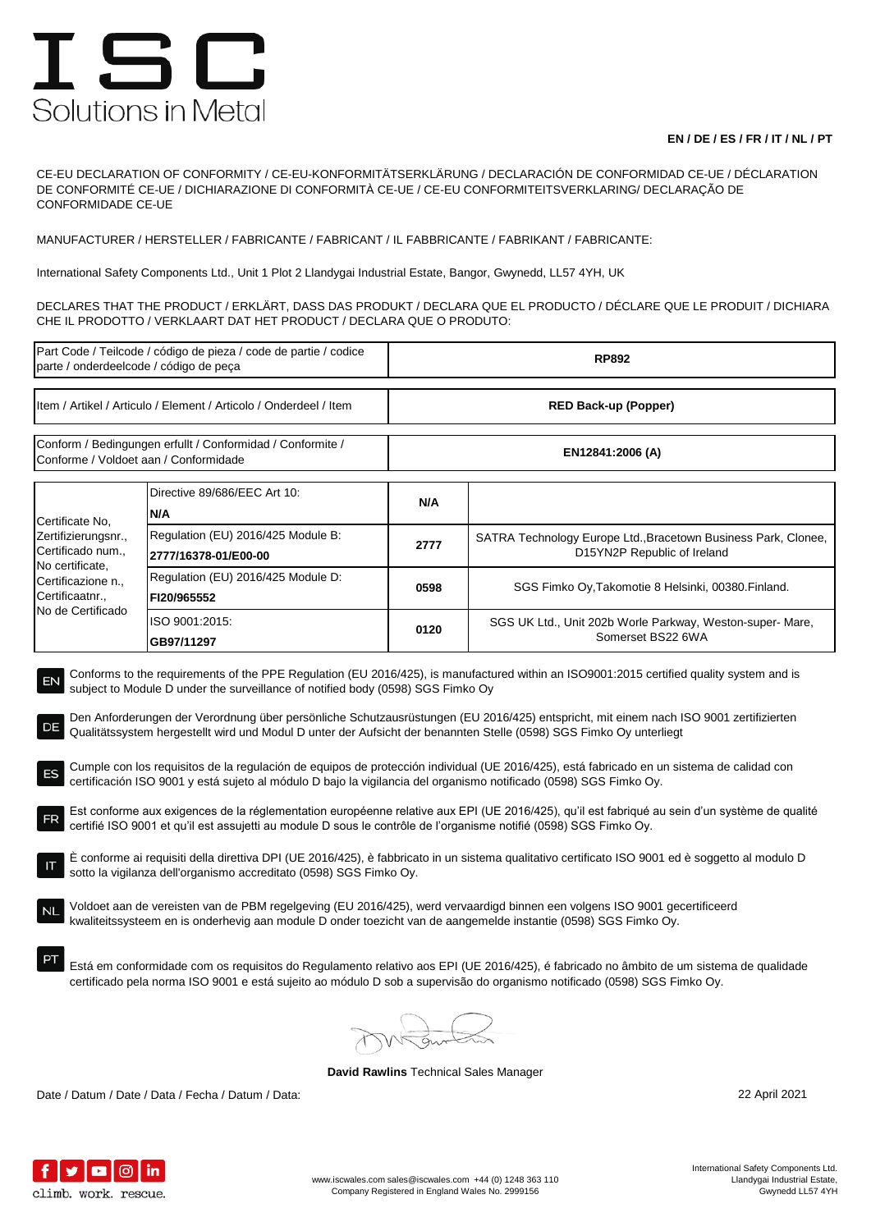## ISC Solutions in Metal

## **EN / DE / ES / FR / IT / NL / PT**

CE-EU DECLARATION OF CONFORMITY / CE-EU-KONFORMITÄTSERKLÄRUNG / DECLARACIÓN DE CONFORMIDAD CE-UE / DÉCLARATION DE CONFORMITÉ CE-UE / DICHIARAZIONE DI CONFORMITÀ CE-UE / CE-EU CONFORMITEITSVERKLARING/ DECLARAÇÃO DE CONFORMIDADE CE-UE

MANUFACTURER / HERSTELLER / FABRICANTE / FABRICANT / IL FABBRICANTE / FABRIKANT / FABRICANTE:

International Safety Components Ltd., Unit 1 Plot 2 Llandygai Industrial Estate, Bangor, Gwynedd, LL57 4YH, UK

DECLARES THAT THE PRODUCT / ERKLÄRT, DASS DAS PRODUKT / DECLARA QUE EL PRODUCTO / DÉCLARE QUE LE PRODUIT / DICHIARA CHE IL PRODOTTO / VERKLAART DAT HET PRODUCT / DECLARA QUE O PRODUTO:

| Part Code / Teilcode / código de pieza / code de partie / codice<br>parte / onderdeelcode / código de peça                                                                                                                                                                                                                                                                                                                                                                                                                                                                                                                                                                                                                                                                                                                                                                                                                                                                                                                                                                                                                                                                                                                                                                                                                                                                                                                                                                                                                                                                                                                                                 |                                                            | <b>RP892</b>                |                                                                                               |  |  |
|------------------------------------------------------------------------------------------------------------------------------------------------------------------------------------------------------------------------------------------------------------------------------------------------------------------------------------------------------------------------------------------------------------------------------------------------------------------------------------------------------------------------------------------------------------------------------------------------------------------------------------------------------------------------------------------------------------------------------------------------------------------------------------------------------------------------------------------------------------------------------------------------------------------------------------------------------------------------------------------------------------------------------------------------------------------------------------------------------------------------------------------------------------------------------------------------------------------------------------------------------------------------------------------------------------------------------------------------------------------------------------------------------------------------------------------------------------------------------------------------------------------------------------------------------------------------------------------------------------------------------------------------------------|------------------------------------------------------------|-----------------------------|-----------------------------------------------------------------------------------------------|--|--|
| Item / Artikel / Articulo / Element / Articolo / Onderdeel / Item                                                                                                                                                                                                                                                                                                                                                                                                                                                                                                                                                                                                                                                                                                                                                                                                                                                                                                                                                                                                                                                                                                                                                                                                                                                                                                                                                                                                                                                                                                                                                                                          |                                                            | <b>RED Back-up (Popper)</b> |                                                                                               |  |  |
| Conform / Bedingungen erfullt / Conformidad / Conformite /<br>Conforme / Voldoet aan / Conformidade                                                                                                                                                                                                                                                                                                                                                                                                                                                                                                                                                                                                                                                                                                                                                                                                                                                                                                                                                                                                                                                                                                                                                                                                                                                                                                                                                                                                                                                                                                                                                        |                                                            | EN12841:2006 (A)            |                                                                                               |  |  |
| Certificate No,<br>Zertifizierungsnr.,<br>Certificado num.,<br>No certificate,<br>Certificazione n.,<br>Certificaatnr.,<br>No de Certificado                                                                                                                                                                                                                                                                                                                                                                                                                                                                                                                                                                                                                                                                                                                                                                                                                                                                                                                                                                                                                                                                                                                                                                                                                                                                                                                                                                                                                                                                                                               | Directive 89/686/EEC Art 10:<br>N/A                        | N/A                         |                                                                                               |  |  |
|                                                                                                                                                                                                                                                                                                                                                                                                                                                                                                                                                                                                                                                                                                                                                                                                                                                                                                                                                                                                                                                                                                                                                                                                                                                                                                                                                                                                                                                                                                                                                                                                                                                            | Regulation (EU) 2016/425 Module B:<br>2777/16378-01/E00-00 | 2777                        | SATRA Technology Europe Ltd., Bracetown Business Park, Clonee,<br>D15YN2P Republic of Ireland |  |  |
|                                                                                                                                                                                                                                                                                                                                                                                                                                                                                                                                                                                                                                                                                                                                                                                                                                                                                                                                                                                                                                                                                                                                                                                                                                                                                                                                                                                                                                                                                                                                                                                                                                                            | Regulation (EU) 2016/425 Module D:<br>FI20/965552          | 0598                        | SGS Fimko Oy, Takomotie 8 Helsinki, 00380. Finland.                                           |  |  |
|                                                                                                                                                                                                                                                                                                                                                                                                                                                                                                                                                                                                                                                                                                                                                                                                                                                                                                                                                                                                                                                                                                                                                                                                                                                                                                                                                                                                                                                                                                                                                                                                                                                            | ISO 9001:2015:<br>GB97/11297                               | 0120                        | SGS UK Ltd., Unit 202b Worle Parkway, Weston-super-Mare,<br>Somerset BS22 6WA                 |  |  |
| subject to Module D under the surveillance of notified body (0598) SGS Fimko Oy<br>Den Anforderungen der Verordnung über persönliche Schutzausrüstungen (EU 2016/425) entspricht, mit einem nach ISO 9001 zertifizierten<br>DE<br>Qualitätssystem hergestellt wird und Modul D unter der Aufsicht der benannten Stelle (0598) SGS Fimko Oy unterliegt<br>Cumple con los requisitos de la regulación de equipos de protección individual (UE 2016/425), está fabricado en un sistema de calidad con<br>certificación ISO 9001 y está sujeto al módulo D bajo la vigilancia del organismo notificado (0598) SGS Fimko Oy.<br>Est conforme aux exigences de la réglementation européenne relative aux EPI (UE 2016/425), qu'il est fabriqué au sein d'un système de qualité<br>FR<br>certifié ISO 9001 et qu'il est assujetti au module D sous le contrôle de l'organisme notifié (0598) SGS Fimko Oy.<br>È conforme ai requisiti della direttiva DPI (UE 2016/425), è fabbricato in un sistema qualitativo certificato ISO 9001 ed è soggetto al modulo D<br>IT<br>sotto la vigilanza dell'organismo accreditato (0598) SGS Fimko Oy.<br>Voldoet aan de vereisten van de PBM regelgeving (EU 2016/425), werd vervaardigd binnen een volgens ISO 9001 gecertificeerd<br>kwaliteitssysteem en is onderhevig aan module D onder toezicht van de aangemelde instantie (0598) SGS Fimko Oy.<br>Está em conformidade com os requisitos do Regulamento relativo aos EPI (UE 2016/425), é fabricado no âmbito de um sistema de qualidade<br>certificado pela norma ISO 9001 e está sujeito ao módulo D sob a supervisão do organismo notificado (0598) SGS Fimko Oy. |                                                            |                             |                                                                                               |  |  |
|                                                                                                                                                                                                                                                                                                                                                                                                                                                                                                                                                                                                                                                                                                                                                                                                                                                                                                                                                                                                                                                                                                                                                                                                                                                                                                                                                                                                                                                                                                                                                                                                                                                            |                                                            |                             |                                                                                               |  |  |

**David Rawlins** Technical Sales Manager

Date / Datum / Date / Data / Fecha / Datum / Data: 22 April 2021